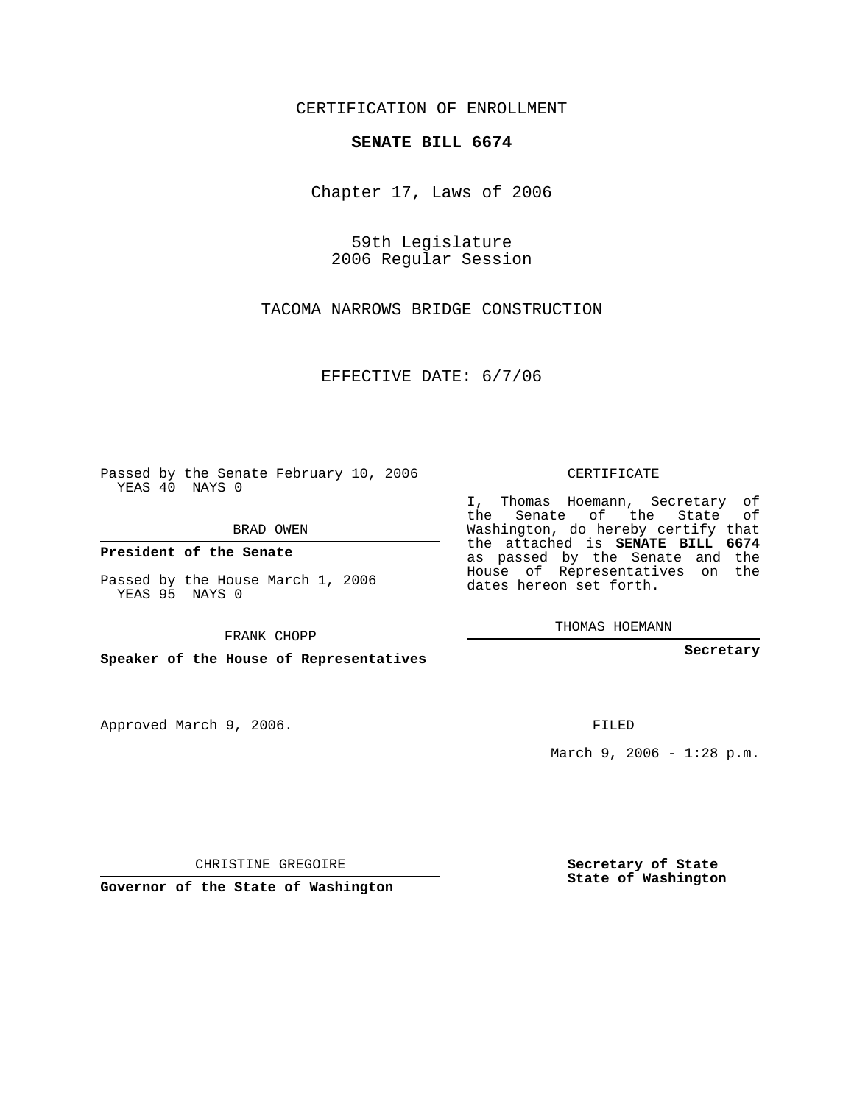CERTIFICATION OF ENROLLMENT

## **SENATE BILL 6674**

Chapter 17, Laws of 2006

59th Legislature 2006 Regular Session

TACOMA NARROWS BRIDGE CONSTRUCTION

EFFECTIVE DATE: 6/7/06

Passed by the Senate February 10, 2006 YEAS 40 NAYS 0

BRAD OWEN

**President of the Senate**

Passed by the House March 1, 2006 YEAS 95 NAYS 0

FRANK CHOPP

**Speaker of the House of Representatives**

Approved March 9, 2006.

CERTIFICATE

I, Thomas Hoemann, Secretary of the Senate of the State of Washington, do hereby certify that the attached is **SENATE BILL 6674** as passed by the Senate and the House of Representatives on the dates hereon set forth.

THOMAS HOEMANN

**Secretary**

FILED

March 9, 2006 -  $1:28$  p.m.

CHRISTINE GREGOIRE

**Governor of the State of Washington**

**Secretary of State State of Washington**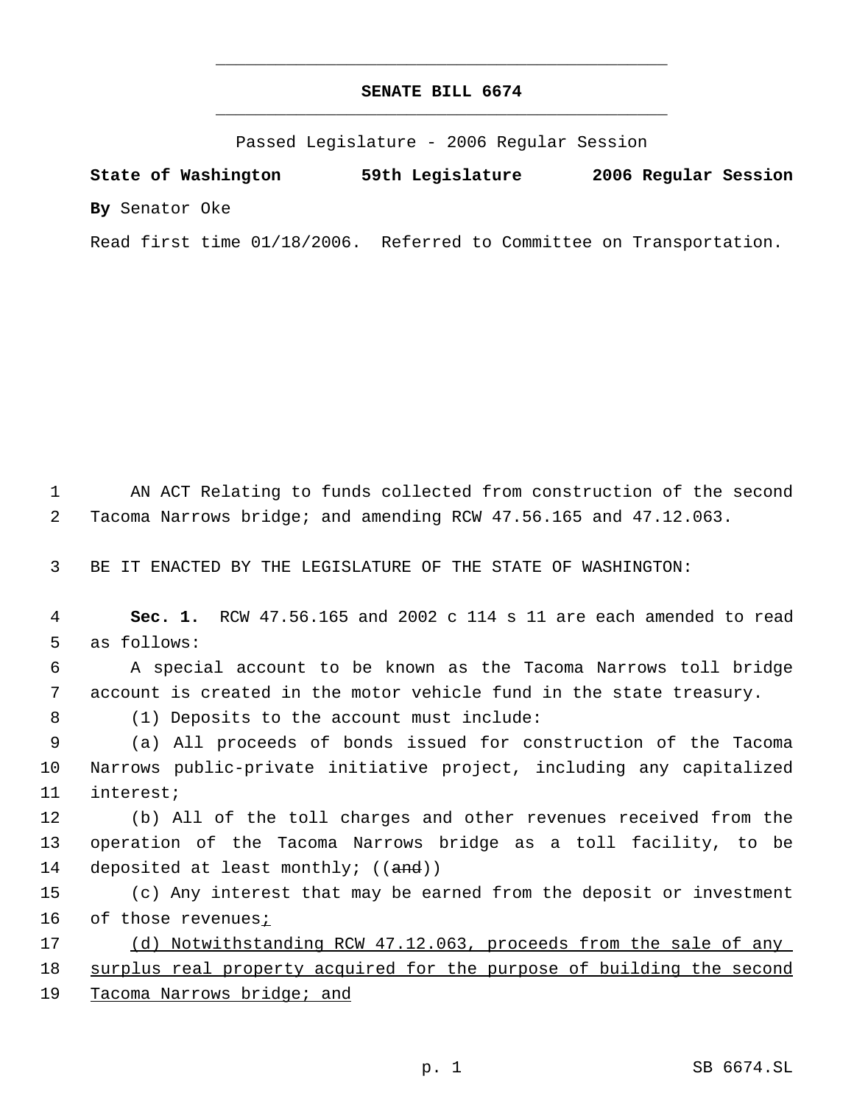## **SENATE BILL 6674** \_\_\_\_\_\_\_\_\_\_\_\_\_\_\_\_\_\_\_\_\_\_\_\_\_\_\_\_\_\_\_\_\_\_\_\_\_\_\_\_\_\_\_\_\_

\_\_\_\_\_\_\_\_\_\_\_\_\_\_\_\_\_\_\_\_\_\_\_\_\_\_\_\_\_\_\_\_\_\_\_\_\_\_\_\_\_\_\_\_\_

Passed Legislature - 2006 Regular Session

**State of Washington 59th Legislature 2006 Regular Session By** Senator Oke

Read first time 01/18/2006. Referred to Committee on Transportation.

 1 AN ACT Relating to funds collected from construction of the second 2 Tacoma Narrows bridge; and amending RCW 47.56.165 and 47.12.063.

3 BE IT ENACTED BY THE LEGISLATURE OF THE STATE OF WASHINGTON:

 4 **Sec. 1.** RCW 47.56.165 and 2002 c 114 s 11 are each amended to read 5 as follows:

 6 A special account to be known as the Tacoma Narrows toll bridge 7 account is created in the motor vehicle fund in the state treasury.

8 (1) Deposits to the account must include:

 9 (a) All proceeds of bonds issued for construction of the Tacoma 10 Narrows public-private initiative project, including any capitalized 11 interest;

12 (b) All of the toll charges and other revenues received from the 13 operation of the Tacoma Narrows bridge as a toll facility, to be 14 deposited at least monthly; ((and))

15 (c) Any interest that may be earned from the deposit or investment 16 of those revenues;

17 (d) Notwithstanding RCW 47.12.063, proceeds from the sale of any 18 surplus real property acquired for the purpose of building the second 19 Tacoma Narrows bridge; and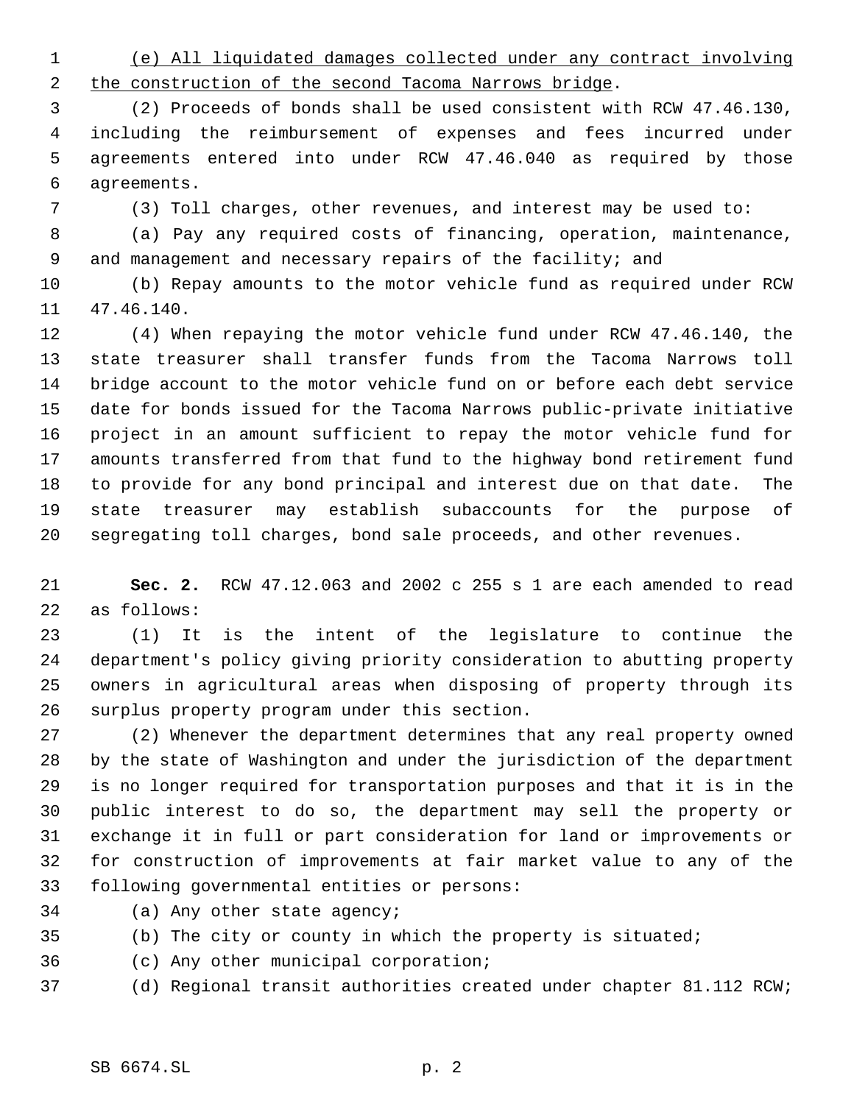(e) All liquidated damages collected under any contract involving 2 the construction of the second Tacoma Narrows bridge.

 (2) Proceeds of bonds shall be used consistent with RCW 47.46.130, including the reimbursement of expenses and fees incurred under agreements entered into under RCW 47.46.040 as required by those agreements.

(3) Toll charges, other revenues, and interest may be used to:

 (a) Pay any required costs of financing, operation, maintenance, and management and necessary repairs of the facility; and

 (b) Repay amounts to the motor vehicle fund as required under RCW 47.46.140.

 (4) When repaying the motor vehicle fund under RCW 47.46.140, the state treasurer shall transfer funds from the Tacoma Narrows toll bridge account to the motor vehicle fund on or before each debt service date for bonds issued for the Tacoma Narrows public-private initiative project in an amount sufficient to repay the motor vehicle fund for amounts transferred from that fund to the highway bond retirement fund to provide for any bond principal and interest due on that date. The state treasurer may establish subaccounts for the purpose of segregating toll charges, bond sale proceeds, and other revenues.

 **Sec. 2.** RCW 47.12.063 and 2002 c 255 s 1 are each amended to read as follows:

 (1) It is the intent of the legislature to continue the department's policy giving priority consideration to abutting property owners in agricultural areas when disposing of property through its surplus property program under this section.

 (2) Whenever the department determines that any real property owned by the state of Washington and under the jurisdiction of the department is no longer required for transportation purposes and that it is in the public interest to do so, the department may sell the property or exchange it in full or part consideration for land or improvements or for construction of improvements at fair market value to any of the following governmental entities or persons:

- (a) Any other state agency;
- (b) The city or county in which the property is situated;
- (c) Any other municipal corporation;
- (d) Regional transit authorities created under chapter 81.112 RCW;